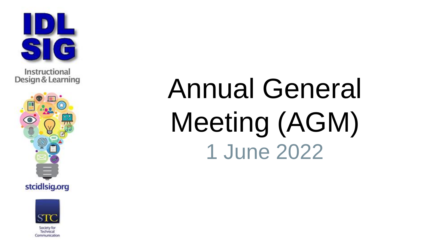

Instructional Design & Learning





Communication

Annual General Meeting (AGM) 1 June 2022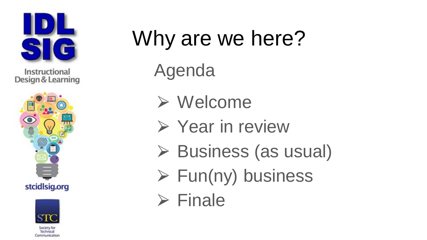

Instructional Design & Learning





Communication

# Why are we here?

Agenda

- ⮚ Welcome
- **► Year in review**
- **▶ Business (as usual)**
- $\triangleright$  Fun(ny) business

 $\triangleright$  Finale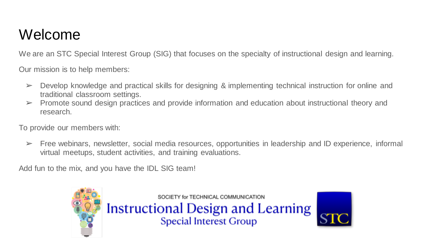## Welcome

We are an STC Special Interest Group (SIG) that focuses on the specialty of instructional design and learning.

Our mission is to help members:

- $\triangleright$  Develop knowledge and practical skills for designing & implementing technical instruction for online and traditional classroom settings.
- $\triangleright$  Promote sound design practices and provide information and education about instructional theory and research.

To provide our members with:

➢ Free webinars, newsletter, social media resources, opportunities in leadership and ID experience, informal virtual meetups, student activities, and training evaluations.

Add fun to the mix, and you have the IDL SIG team!

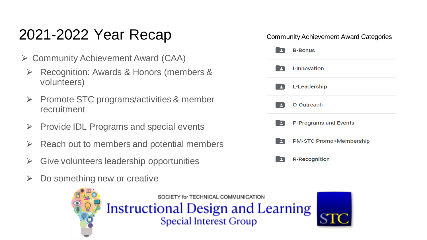# 2021-2022 Year Recap

- $\triangleright$  Community Achievement Award (CAA)
	- ⮚ Recognition: Awards & Honors (members & volunteers)
	- ⮚ Promote STC programs/activities & member recruitment
	- $\triangleright$  Provide IDL Programs and special events
	- ⮚ Reach out to members and potential members
	- ⮚ Give volunteers leadership opportunities
	- Do something new or creative



SOCIETY for TECHNICAL COMMUNICATION **Instructional Design and Learning Special Interest Group** 

#### Community Achievement Award Categories

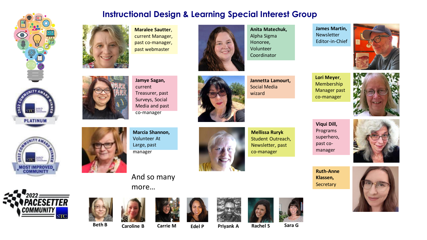











**Maralee Sautter**, current Manager, past co-manager, past webmaster



**Anita Matechuk,** Alpha Sigma Honoree, Volunteer Coordinator

**James Martin, Newsletter** Editor-in-Chief





**Jamye Sagan,**  current Treasurer, past Surveys, Social Media and past co-manager



**Jannetta Lamourt,**  Social Media wizard

**Lori Meyer**, Membership Manager past co-manager



manager

**Marcia Shannon,** Volunteer At Large, past



**Mellissa Ruryk**  Student Outreach, Newsletter, past co-manager

**Viqui Dill,**  Programs superhero, past comanager

















**Beth B Caroline B Carrie M Edel P Priyank A Rachel S Sara G**









And so many

more…







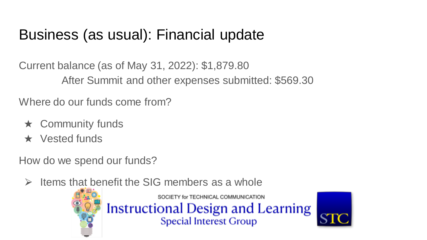# Business (as usual): Financial update

Current balance (as of May 31, 2022): \$1,879.80 After Summit and other expenses submitted: \$569.30

Where do our funds come from?

- $\star$  Community funds
- ★ Vested funds

How do we spend our funds?

 $\triangleright$  Items that benefit the SIG members as a whole

SOCIETY for TECHNICAL COMMUNICATION **Instructional Design and Learning** Special Interest Group

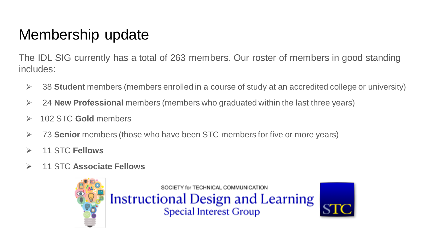# Membership update

The IDL SIG currently has a total of 263 members. Our roster of members in good standing includes:

- ⮚ 38 **Student** members (members enrolled in a course of study at an accredited college or university)
- ⮚ 24 **New Professional** members (members who graduated within the last three years)
- ⮚ 102 STC **Gold** members
- ⮚ 73 **Senior** members (those who have been STC members for five or more years)
- ⮚ 11 STC **Fellows**
- ⮚ 11 STC **Associate Fellows**

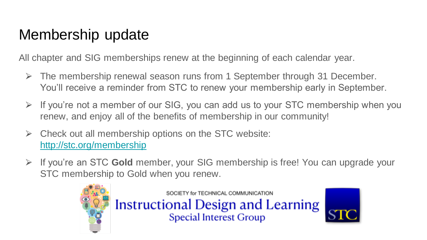# Membership update

All chapter and SIG memberships renew at the beginning of each calendar year.

- $\triangleright$  The membership renewal season runs from 1 September through 31 December. You'll receive a reminder from STC to renew your membership early in September.
- $\triangleright$  If you're not a member of our SIG, you can add us to your STC membership when you renew, and enjoy all of the benefits of membership in our community!
- $\triangleright$  Check out all membership options on the STC website: <http://stc.org/membership>
- ⮚ If you're an STC **Gold** member, your SIG membership is free! You can upgrade your STC membership to Gold when you renew.



SOCIETY for TECHNICAL COMMUNICATION **Instructional Design and Learning**<br>Special Interest Group

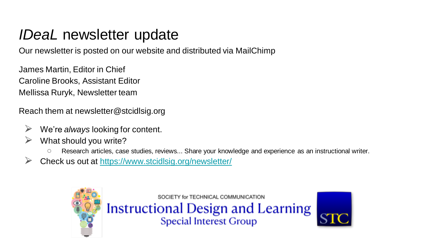### *IDeaL* newsletter update

Our newsletter is posted on our website and distributed via MailChimp

James Martin, Editor in Chief Caroline Brooks, Assistant Editor Mellissa Ruryk, Newsletter team

Reach them at newsletter@stcidlsig.org

- We're *always* looking for content.
- What should you write?
	- Research articles, case studies, reviews... Share your knowledge and experience as an instructional writer.
- ⮚ Check us out at <https://www.stcidlsig.org/newsletter/>

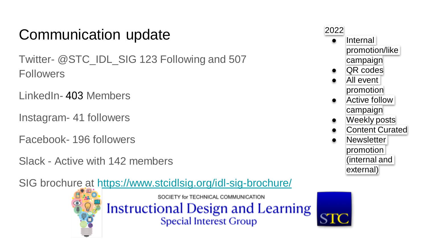# Communication update

Twitter- @STC\_IDL\_SIG 123 Following and 507 **Followers** 

LinkedIn- 403 Members

Instagram- 41 followers

Facebook- 196 followers

Slack - Active with 142 members

SIG brochure at <https://www.stcidlsig.org/idl-sig-brochure/>



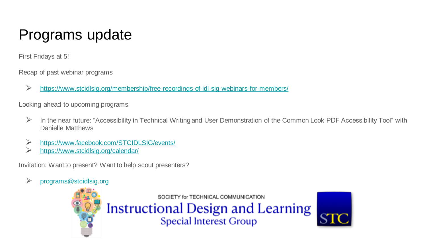# Programs update

First Fridays at 5!

Recap of past webinar programs

⮚ <https://www.stcidlsig.org/membership/free-recordings-of-idl-sig-webinars-for-members/>

Looking ahead to upcoming programs

- ⮚ In the near future: "Accessibility in Technical Writing and User Demonstration of the Common Look PDF Accessibility Tool" with Danielle Matthews
- ⮚ <https://www.facebook.com/STCIDLSIG/events/>
- ⮚ <https://www.stcidlsig.org/calendar/>

Invitation: Want to present? Want to help scout presenters?

⮚ [programs@stcidlsig.org](mailto:programs@stcidlsig.org)

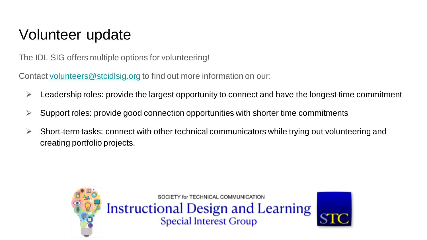# Volunteer update

The IDL SIG offers multiple options for volunteering!

Contact [volunteers@stcidlsig.org](mailto:volunteers@stcidlsig.org) to find out more information on our:

- $\triangleright$  Leadership roles: provide the largest opportunity to connect and have the longest time commitment
- $\triangleright$  Support roles: provide good connection opportunities with shorter time commitments
- $\triangleright$  Short-term tasks: connect with other technical communicators while trying out volunteering and creating portfolio projects.

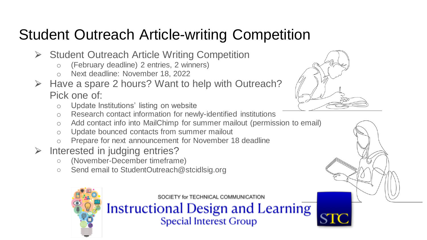# Student Outreach Article-writing Competition

- **► Student Outreach Article Writing Competition** 
	- o (February deadline) 2 entries, 2 winners)
	- o Next deadline: November 18, 2022
- $\triangleright$  Have a spare 2 hours? Want to help with Outreach? Pick one of:
	- o Update Institutions' listing on website
	- o Research contact information for newly-identified institutions
	- o Add contact info into MailChimp for summer mailout (permission to email)
	- o Update bounced contacts from summer mailout
	- o Prepare for next announcement for November 18 deadline
- $\triangleright$  Interested in judging entries?
	- (November-December timeframe)
	- Send email to StudentOutreach@stcidlsig.org



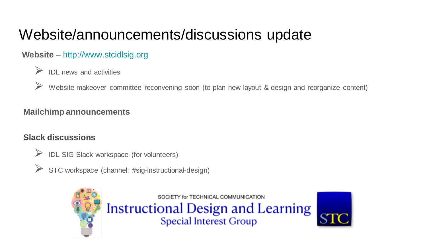# Website/announcements/discussions update

#### **Website** – http://www.stcidlsig.org

#### ⮚ IDL news and activities

Website makeover committee reconvening soon (to plan new layout & design and reorganize content)

#### **Mailchimp announcements**

#### **Slack discussions**

- ⮚ IDL SIG Slack workspace (for volunteers)
- STC workspace (channel: #sig-instructional-design)



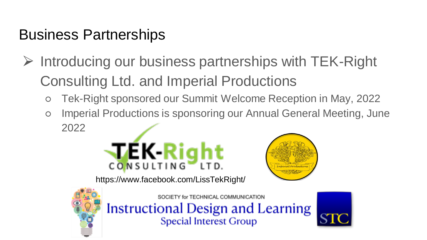# Business Partnerships

- ⮚ Introducing our business partnerships with TEK-Right Consulting Ltd. and Imperial Productions
	- Tek-Right sponsored our Summit Welcome Reception in May, 2022
	- o Imperial Productions is sponsoring our Annual General Meeting, June 2022





https://www.facebook.com/LissTekRight/



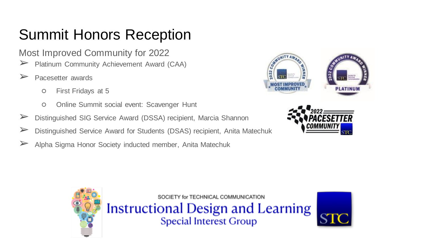# Summit Honors Reception

Most Improved Community for 2022

- ➢ Platinum Community Achievement Award (CAA)
- ➢ Pacesetter awards
	- First Fridays at 5
	- Online Summit social event: Scavenger Hunt
- ➢ Distinguished SIG Service Award (DSSA) recipient, Marcia Shannon
- ➢ Distinguished Service Award for Students (DSAS) recipient, Anita Matechuk
- ➢ Alpha Sigma Honor Society inducted member, Anita Matechuk







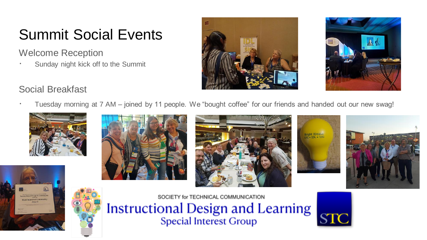# Summit Social Events

Welcome Reception

∙ Sunday night kick off to the Summit





#### Social Breakfast

∙ Tuesday morning at 7 AM – joined by 11 people. We "bought coffee" for our friends and handed out our new swag!













SOCIETY for TECHNICAL COMMUNICATION **Instructional Design and Learning**<br>Special Interest Group

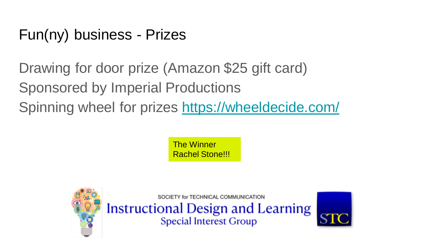# Fun(ny) business - Prizes

Drawing for door prize (Amazon \$25 gift card) Sponsored by Imperial Productions Spinning wheel for prizes<https://wheeldecide.com/>

> The Winner Rachel Stone!!!

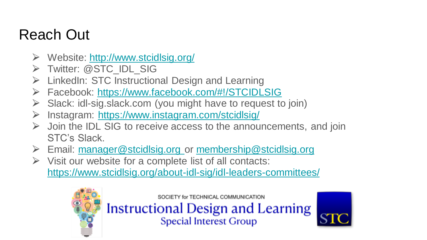# Reach Out

- ⮚ Website: <http://www.stcidlsig.org/>
- **≻** Twitter: @STC\_IDL\_SIG
- $\triangleright$  LinkedIn: STC Instructional Design and Learning
- ⮚ Facebook: <https://www.facebook.com/#!/STCIDLSIG>
- $\triangleright$  Slack: idl-sig.slack.com (you might have to request to join)
- ⮚ Instagram: <https://www.instagram.com/stcidlsig/>
- $\triangleright$  Join the IDL SIG to receive access to the announcements, and join STC's Slack.
- ⮚ Email: [manager@stcidlsig.org](mailto:manager@stcidlsig.org) or [membership@stcidlsig.org](mailto:membership@stcidlsig.org)
- $\triangleright$  Visit our website for a complete list of all contacts: <https://www.stcidlsig.org/about-idl-sig/idl-leaders-committees/>



SOCIETY for TECHNICAL COMMUNICATION

**Instructional Design and Learning Special Interest Group**